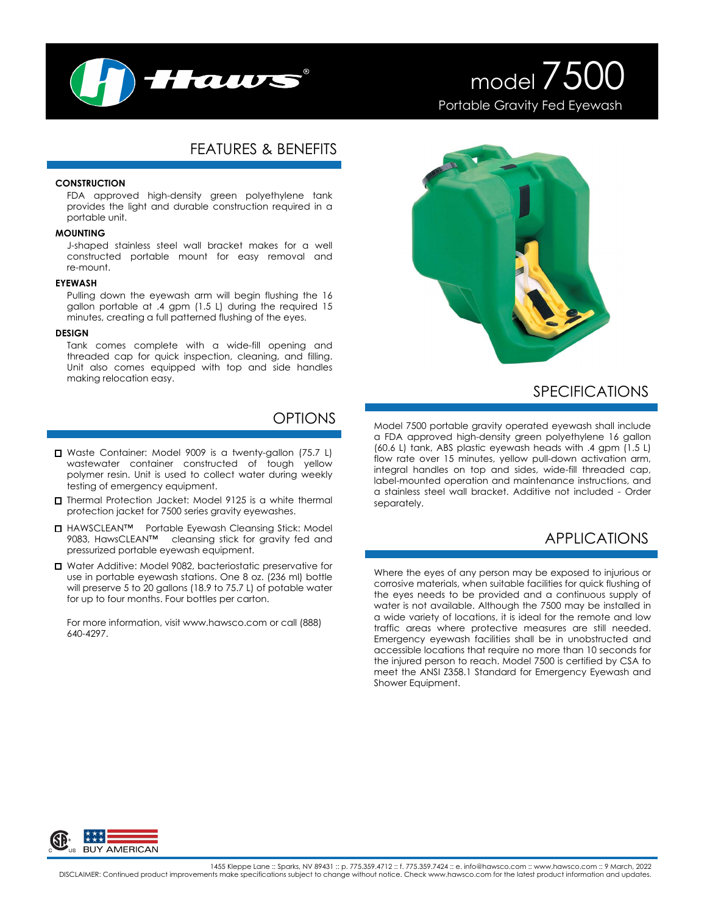

# model 7500 Portable Gravity Fed Eyewash

## FEATURES & BENEFITS

### **CONSTRUCTION**

FDA approved high-density green polyethylene tank provides the light and durable construction required in a portable unit.

### **MOUNTING**

J-shaped stainless steel wall bracket makes for a well constructed portable mount for easy removal and re-mount.

#### **EYEWASH**

Pulling down the eyewash arm will begin flushing the 16 gallon portable at .4 gpm (1.5 L) during the required 15 minutes, creating a full patterned flushing of the eyes.

#### **DESIGN**

Tank comes complete with a wide-fill opening and threaded cap for quick inspection, cleaning, and filling. Unit also comes equipped with top and side handles making relocation easy.

### OPTIONS

- Waste Container: Model 9009 is a twenty-gallon (75.7 L) wastewater container constructed of tough yellow polymer resin. Unit is used to collect water during weekly testing of emergency equipment.
- Thermal Protection Jacket: Model 9125 is a white thermal protection jacket for 7500 series gravity eyewashes.
- □ HAWSCLEAN™ Portable Eyewash Cleansing Stick: Model 9083, HawsCLEAN™ cleansing stick for gravity fed and pressurized portable eyewash equipment.
- Water Additive: Model 9082, bacteriostatic preservative for use in portable eyewash stations. One 8 oz. (236 ml) bottle will preserve 5 to 20 gallons (18.9 to 75.7 L) of potable water for up to four months. Four bottles per carton.

For more information, visit www.hawsco.com or call (888) 640-4297.



## SPECIFICATIONS

Model 7500 portable gravity operated eyewash shall include a FDA approved high-density green polyethylene 16 gallon (60.6 L) tank, ABS plastic eyewash heads with .4 gpm (1.5 L) flow rate over 15 minutes, yellow pull-down activation arm, integral handles on top and sides, wide-fill threaded cap, label-mounted operation and maintenance instructions, and a stainless steel wall bracket. Additive not included - Order separately.

# APPLICATIONS

Where the eyes of any person may be exposed to injurious or corrosive materials, when suitable facilities for quick flushing of the eyes needs to be provided and a continuous supply of water is not available. Although the 7500 may be installed in a wide variety of locations, it is ideal for the remote and low traffic areas where protective measures are still needed. Emergency eyewash facilities shall be in unobstructed and accessible locations that require no more than 10 seconds for the injured person to reach. Model 7500 is certified by CSA to meet the ANSI Z358.1 Standard for Emergency Eyewash and Shower Equipment.



1455 Kleppe Lane :: Sparks, NV 89431 :: p. 775.359.4712 :: f. 775.359.7424 :: e. info@hawsco.com :: www.hawsco.com :: 9 March, 2022<br>DISCLAIMER: Continued product improvements make specifications subject to change without n